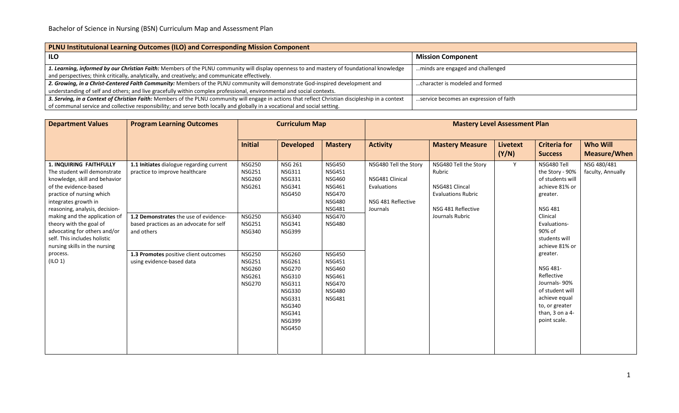| PLNU Institutuional Learning Outcomes (ILO) and Corresponding Mission Component                                                                    |                                        |  |  |  |  |  |  |  |  |
|----------------------------------------------------------------------------------------------------------------------------------------------------|----------------------------------------|--|--|--|--|--|--|--|--|
| ILO                                                                                                                                                | <b>Mission Component</b>               |  |  |  |  |  |  |  |  |
| 1. Learning, informed by our Christian Faith: Members of the PLNU community will display openness to and mastery of foundational knowledge         | minds are engaged and challenged       |  |  |  |  |  |  |  |  |
| and perspectives; think critically, analytically, and creatively; and communicate effectively.                                                     |                                        |  |  |  |  |  |  |  |  |
| 2. Growing, in a Christ-Centered Faith Community: Members of the PLNU community will demonstrate God-inspired development and                      | character is modeled and formed        |  |  |  |  |  |  |  |  |
| understanding of self and others; and live gracefully within complex professional, environmental and social contexts.                              |                                        |  |  |  |  |  |  |  |  |
| 3. Serving, in a Context of Christian Faith: Members of the PLNU community will engage in actions that reflect Christian discipleship in a context | service becomes an expression of faith |  |  |  |  |  |  |  |  |
| of communal service and collective responsibility; and serve both locally and globally in a vocational and social setting.                         |                                        |  |  |  |  |  |  |  |  |

| <b>Department Values</b>                                                                                                                                                                                                                                                                                                                                                                                  | <b>Program Learning Outcomes</b>                                                                                                                                                                                                                   | <b>Curriculum Map</b>                                                                                                                                                                                    |                                                                                                                                                                                                                                                                                                                                  |                                                                                                                                                                                                                                                                              |                                                                                           |                                                                                                                         |                          |                                                                                                                                                                                                                                                                                                                                |                                        |
|-----------------------------------------------------------------------------------------------------------------------------------------------------------------------------------------------------------------------------------------------------------------------------------------------------------------------------------------------------------------------------------------------------------|----------------------------------------------------------------------------------------------------------------------------------------------------------------------------------------------------------------------------------------------------|----------------------------------------------------------------------------------------------------------------------------------------------------------------------------------------------------------|----------------------------------------------------------------------------------------------------------------------------------------------------------------------------------------------------------------------------------------------------------------------------------------------------------------------------------|------------------------------------------------------------------------------------------------------------------------------------------------------------------------------------------------------------------------------------------------------------------------------|-------------------------------------------------------------------------------------------|-------------------------------------------------------------------------------------------------------------------------|--------------------------|--------------------------------------------------------------------------------------------------------------------------------------------------------------------------------------------------------------------------------------------------------------------------------------------------------------------------------|----------------------------------------|
|                                                                                                                                                                                                                                                                                                                                                                                                           |                                                                                                                                                                                                                                                    | <b>Initial</b>                                                                                                                                                                                           | <b>Developed</b>                                                                                                                                                                                                                                                                                                                 | <b>Mastery</b>                                                                                                                                                                                                                                                               | <b>Activity</b>                                                                           | <b>Mastery Measure</b>                                                                                                  | <b>Livetext</b><br>(Y/N) | <b>Criteria for</b><br><b>Success</b>                                                                                                                                                                                                                                                                                          | <b>Who Will</b><br><b>Measure/When</b> |
| <b>1. INQUIRING FAITHFULLY</b><br>The student will demonstrate<br>knowledge, skill and behavior<br>of the evidence-based<br>practice of nursing which<br>integrates growth in<br>reasoning, analysis, decision-<br>making and the application of<br>theory with the goal of<br>advocating for others and/or<br>self. This includes holistic<br>nursing skills in the nursing<br>process.<br>$($ ILO 1 $)$ | 1.1 Initiates dialogue regarding current<br>practice to improve healthcare<br>1.2 Demonstrates the use of evidence-<br>based practices as an advocate for self<br>and others<br>1.3 Promotes positive client outcomes<br>using evidence-based data | <b>NSG250</b><br><b>NSG251</b><br><b>NSG260</b><br><b>NSG261</b><br><b>NSG250</b><br><b>NSG251</b><br><b>NSG340</b><br><b>NSG250</b><br><b>NSG251</b><br><b>NSG260</b><br><b>NSG261</b><br><b>NSG270</b> | <b>NSG 261</b><br><b>NSG311</b><br><b>NSG331</b><br><b>NSG341</b><br><b>NSG450</b><br><b>NSG340</b><br><b>NSG341</b><br><b>NSG399</b><br><b>NSG260</b><br><b>NSG261</b><br><b>NSG270</b><br><b>NSG310</b><br><b>NSG311</b><br><b>NSG330</b><br><b>NSG331</b><br><b>NSG340</b><br><b>NSG341</b><br><b>NSG399</b><br><b>NSG450</b> | <b>NSG450</b><br><b>NSG451</b><br><b>NSG460</b><br><b>NSG461</b><br><b>NSG470</b><br><b>NSG480</b><br><b>NSG481</b><br><b>NSG470</b><br><b>NSG480</b><br><b>NSG450</b><br><b>NSG451</b><br><b>NSG460</b><br><b>NSG461</b><br><b>NSG470</b><br><b>NSG480</b><br><b>NSG481</b> | NSG480 Tell the Story<br>NSG481 Clinical<br>Evaluations<br>NSG 481 Reflective<br>Journals | NSG480 Tell the Story<br>Rubric<br>NSG481 Clincal<br><b>Evaluations Rubric</b><br>NSG 481 Reflective<br>Journals Rubric | Y                        | NSG480 Tell<br>the Story - 90%<br>of students will<br>achieve 81% or<br>greater.<br><b>NSG 481</b><br>Clinical<br>Evaluations-<br>90% of<br>students will<br>achieve 81% or<br>greater.<br>NSG 481-<br>Reflective<br>Journals-90%<br>of student will<br>achieve equal<br>to, or greater<br>than, $3$ on a $4-$<br>point scale. | NSG 480/481<br>faculty, Annually       |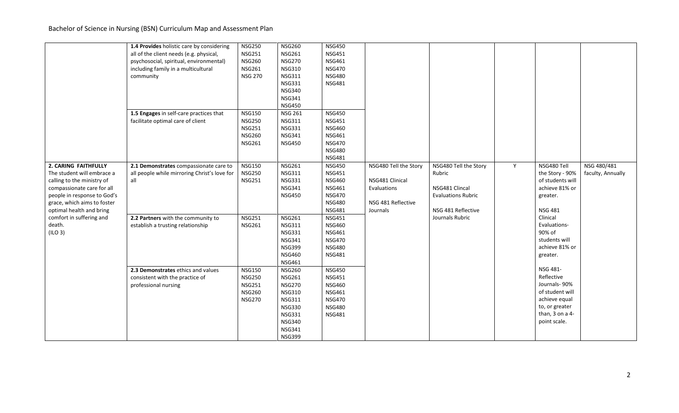Bachelor of Science in Nursing (BSN) Curriculum Map and Assessment Plan

|                             | 1.4 Provides holistic care by considering    | <b>NSG250</b>  | <b>NSG260</b>  | <b>NSG450</b> |                       |                           |   |                  |                   |
|-----------------------------|----------------------------------------------|----------------|----------------|---------------|-----------------------|---------------------------|---|------------------|-------------------|
|                             | all of the client needs (e.g. physical,      | <b>NSG251</b>  | <b>NSG261</b>  | <b>NSG451</b> |                       |                           |   |                  |                   |
|                             | psychosocial, spiritual, environmental)      | <b>NSG260</b>  | <b>NSG270</b>  | <b>NSG461</b> |                       |                           |   |                  |                   |
|                             | including family in a multicultural          | <b>NSG261</b>  | <b>NSG310</b>  | <b>NSG470</b> |                       |                           |   |                  |                   |
|                             | community                                    | <b>NSG 270</b> | <b>NSG311</b>  | <b>NSG480</b> |                       |                           |   |                  |                   |
|                             |                                              |                | <b>NSG331</b>  | <b>NSG481</b> |                       |                           |   |                  |                   |
|                             |                                              |                | <b>NSG340</b>  |               |                       |                           |   |                  |                   |
|                             |                                              |                | <b>NSG341</b>  |               |                       |                           |   |                  |                   |
|                             |                                              |                | <b>NSG450</b>  |               |                       |                           |   |                  |                   |
|                             | 1.5 Engages in self-care practices that      | <b>NSG150</b>  | <b>NSG 261</b> | <b>NSG450</b> |                       |                           |   |                  |                   |
|                             | facilitate optimal care of client            | <b>NSG250</b>  | <b>NSG311</b>  | <b>NSG451</b> |                       |                           |   |                  |                   |
|                             |                                              | <b>NSG251</b>  | <b>NSG331</b>  | <b>NSG460</b> |                       |                           |   |                  |                   |
|                             |                                              | <b>NSG260</b>  | <b>NSG341</b>  | <b>NSG461</b> |                       |                           |   |                  |                   |
|                             |                                              | <b>NSG261</b>  | <b>NSG450</b>  | <b>NSG470</b> |                       |                           |   |                  |                   |
|                             |                                              |                |                | <b>NSG480</b> |                       |                           |   |                  |                   |
|                             |                                              |                |                | <b>NSG481</b> |                       |                           |   |                  |                   |
| 2. CARING FAITHFULLY        | 2.1 Demonstrates compassionate care to       | <b>NSG150</b>  | <b>NSG261</b>  | <b>NSG450</b> | NSG480 Tell the Story | NSG480 Tell the Story     | Y | NSG480 Tell      | NSG 480/481       |
| The student will embrace a  | all people while mirroring Christ's love for | <b>NSG250</b>  | <b>NSG311</b>  | <b>NSG451</b> |                       | Rubric                    |   | the Story - 90%  | faculty, Annually |
| calling to the ministry of  | all                                          | <b>NSG251</b>  | <b>NSG331</b>  | <b>NSG460</b> | NSG481 Clinical       |                           |   | of students will |                   |
| compassionate care for all  |                                              |                | <b>NSG341</b>  | <b>NSG461</b> | Evaluations           | NSG481 Clincal            |   | achieve 81% or   |                   |
| people in response to God's |                                              |                | <b>NSG450</b>  | <b>NSG470</b> |                       | <b>Evaluations Rubric</b> |   | greater.         |                   |
| grace, which aims to foster |                                              |                |                | <b>NSG480</b> | NSG 481 Reflective    |                           |   |                  |                   |
| optimal health and bring    |                                              |                |                | <b>NSG481</b> | Journals              | NSG 481 Reflective        |   | <b>NSG 481</b>   |                   |
| comfort in suffering and    | 2.2 Partners with the community to           | <b>NSG251</b>  | <b>NSG261</b>  | <b>NSG451</b> |                       | Journals Rubric           |   | Clinical         |                   |
| death.                      | establish a trusting relationship            | <b>NSG261</b>  | <b>NSG311</b>  | <b>NSG460</b> |                       |                           |   | Evaluations-     |                   |
| (ILO 3)                     |                                              |                | <b>NSG331</b>  | <b>NSG461</b> |                       |                           |   | 90% of           |                   |
|                             |                                              |                | <b>NSG341</b>  | <b>NSG470</b> |                       |                           |   | students will    |                   |
|                             |                                              |                | <b>NSG399</b>  | <b>NSG480</b> |                       |                           |   | achieve 81% or   |                   |
|                             |                                              |                | <b>NSG460</b>  | <b>NSG481</b> |                       |                           |   | greater.         |                   |
|                             |                                              |                | <b>NSG461</b>  |               |                       |                           |   |                  |                   |
|                             | 2.3 Demonstrates ethics and values           | <b>NSG150</b>  | <b>NSG260</b>  | <b>NSG450</b> |                       |                           |   | NSG 481-         |                   |
|                             | consistent with the practice of              | <b>NSG250</b>  | <b>NSG261</b>  | <b>NSG451</b> |                       |                           |   | Reflective       |                   |
|                             | professional nursing                         | <b>NSG251</b>  | <b>NSG270</b>  | <b>NSG460</b> |                       |                           |   | Journals-90%     |                   |
|                             |                                              | <b>NSG260</b>  | <b>NSG310</b>  | <b>NSG461</b> |                       |                           |   | of student will  |                   |
|                             |                                              | <b>NSG270</b>  | <b>NSG311</b>  | <b>NSG470</b> |                       |                           |   | achieve equal    |                   |
|                             |                                              |                | <b>NSG330</b>  | <b>NSG480</b> |                       |                           |   | to, or greater   |                   |
|                             |                                              |                | <b>NSG331</b>  | <b>NSG481</b> |                       |                           |   | than, 3 on a 4-  |                   |
|                             |                                              |                | <b>NSG340</b>  |               |                       |                           |   | point scale.     |                   |
|                             |                                              |                | <b>NSG341</b>  |               |                       |                           |   |                  |                   |
|                             |                                              |                | <b>NSG399</b>  |               |                       |                           |   |                  |                   |
|                             |                                              |                |                |               |                       |                           |   |                  |                   |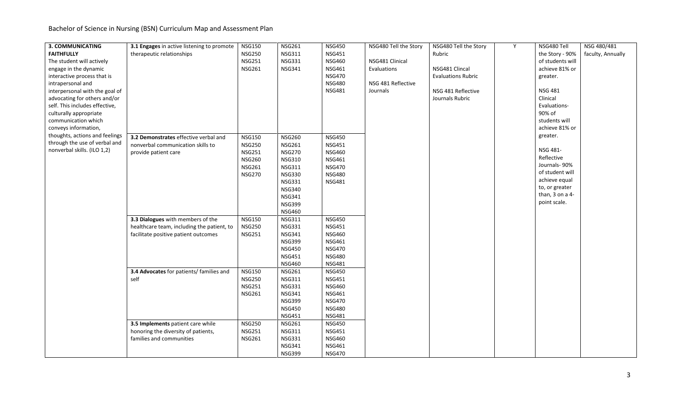Bachelor of Science in Nursing (BSN) Curriculum Map and Assessment Plan

| <b>3. COMMUNICATING</b>        | 3.1 Engages in active listening to promote | <b>NSG150</b> | <b>NSG261</b> | <b>NSG450</b> | NSG480 Tell the Story | NSG480 Tell the Story     | Y | NSG480 Tell      | NSG 480/481       |
|--------------------------------|--------------------------------------------|---------------|---------------|---------------|-----------------------|---------------------------|---|------------------|-------------------|
| <b>FAITHFULLY</b>              | therapeutic relationships                  | <b>NSG250</b> | <b>NSG311</b> | <b>NSG451</b> |                       | Rubric                    |   | the Story - 90%  | faculty, Annually |
| The student will actively      |                                            | <b>NSG251</b> | <b>NSG331</b> | <b>NSG460</b> | NSG481 Clinical       |                           |   | of students will |                   |
| engage in the dynamic          |                                            | <b>NSG261</b> | <b>NSG341</b> | <b>NSG461</b> | Evaluations           | NSG481 Clincal            |   | achieve 81% or   |                   |
| interactive process that is    |                                            |               |               | <b>NSG470</b> |                       | <b>Evaluations Rubric</b> |   | greater.         |                   |
| intrapersonal and              |                                            |               |               | <b>NSG480</b> | NSG 481 Reflective    |                           |   |                  |                   |
| interpersonal with the goal of |                                            |               |               | <b>NSG481</b> | Journals              | NSG 481 Reflective        |   | <b>NSG 481</b>   |                   |
| advocating for others and/or   |                                            |               |               |               |                       | Journals Rubric           |   | Clinical         |                   |
| self. This includes effective, |                                            |               |               |               |                       |                           |   | Evaluations-     |                   |
| culturally appropriate         |                                            |               |               |               |                       |                           |   | 90% of           |                   |
| communication which            |                                            |               |               |               |                       |                           |   | students will    |                   |
| conveys information,           |                                            |               |               |               |                       |                           |   | achieve 81% or   |                   |
| thoughts, actions and feelings | 3.2 Demonstrates effective verbal and      | <b>NSG150</b> | <b>NSG260</b> | <b>NSG450</b> |                       |                           |   | greater.         |                   |
| through the use of verbal and  | nonverbal communication skills to          | <b>NSG250</b> | <b>NSG261</b> | <b>NSG451</b> |                       |                           |   |                  |                   |
| nonverbal skills. (ILO 1,2)    | provide patient care                       | <b>NSG251</b> | <b>NSG270</b> | <b>NSG460</b> |                       |                           |   | NSG 481-         |                   |
|                                |                                            | <b>NSG260</b> | <b>NSG310</b> | <b>NSG461</b> |                       |                           |   | Reflective       |                   |
|                                |                                            | <b>NSG261</b> | <b>NSG311</b> | <b>NSG470</b> |                       |                           |   | Journals-90%     |                   |
|                                |                                            | <b>NSG270</b> | <b>NSG330</b> | <b>NSG480</b> |                       |                           |   | of student will  |                   |
|                                |                                            |               | <b>NSG331</b> | <b>NSG481</b> |                       |                           |   | achieve equal    |                   |
|                                |                                            |               | <b>NSG340</b> |               |                       |                           |   | to, or greater   |                   |
|                                |                                            |               | <b>NSG341</b> |               |                       |                           |   | than, 3 on a 4-  |                   |
|                                |                                            |               | <b>NSG399</b> |               |                       |                           |   | point scale.     |                   |
|                                |                                            |               | <b>NSG460</b> |               |                       |                           |   |                  |                   |
|                                | 3.3 Dialogues with members of the          | <b>NSG150</b> | <b>NSG311</b> | <b>NSG450</b> |                       |                           |   |                  |                   |
|                                | healthcare team, including the patient, to | <b>NSG250</b> | <b>NSG331</b> | <b>NSG451</b> |                       |                           |   |                  |                   |
|                                | facilitate positive patient outcomes       | <b>NSG251</b> | <b>NSG341</b> | <b>NSG460</b> |                       |                           |   |                  |                   |
|                                |                                            |               | <b>NSG399</b> | <b>NSG461</b> |                       |                           |   |                  |                   |
|                                |                                            |               | <b>NSG450</b> | <b>NSG470</b> |                       |                           |   |                  |                   |
|                                |                                            |               | <b>NSG451</b> | <b>NSG480</b> |                       |                           |   |                  |                   |
|                                |                                            |               | <b>NSG460</b> | <b>NSG481</b> |                       |                           |   |                  |                   |
|                                | 3.4 Advocates for patients/ families and   | <b>NSG150</b> | <b>NSG261</b> | <b>NSG450</b> |                       |                           |   |                  |                   |
|                                | self                                       | <b>NSG250</b> | <b>NSG311</b> | <b>NSG451</b> |                       |                           |   |                  |                   |
|                                |                                            | <b>NSG251</b> | <b>NSG331</b> | <b>NSG460</b> |                       |                           |   |                  |                   |
|                                |                                            | <b>NSG261</b> | <b>NSG341</b> | <b>NSG461</b> |                       |                           |   |                  |                   |
|                                |                                            |               | <b>NSG399</b> | <b>NSG470</b> |                       |                           |   |                  |                   |
|                                |                                            |               | <b>NSG450</b> | <b>NSG480</b> |                       |                           |   |                  |                   |
|                                |                                            |               | <b>NSG451</b> | <b>NSG481</b> |                       |                           |   |                  |                   |
|                                | 3.5 Implements patient care while          | <b>NSG250</b> | <b>NSG261</b> | <b>NSG450</b> |                       |                           |   |                  |                   |
|                                | honoring the diversity of patients,        | <b>NSG251</b> | <b>NSG311</b> | <b>NSG451</b> |                       |                           |   |                  |                   |
|                                | families and communities                   | <b>NSG261</b> | <b>NSG331</b> | <b>NSG460</b> |                       |                           |   |                  |                   |
|                                |                                            |               | <b>NSG341</b> | <b>NSG461</b> |                       |                           |   |                  |                   |
|                                |                                            |               | <b>NSG399</b> | <b>NSG470</b> |                       |                           |   |                  |                   |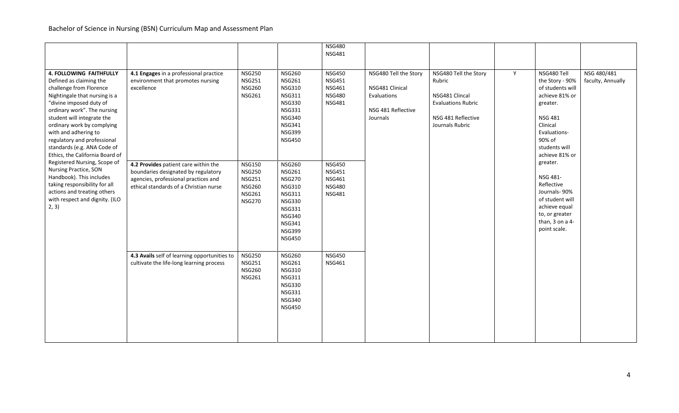|                                 |                                              |               |               | <b>NSG480</b> |                       |                           |   |                                 |                   |
|---------------------------------|----------------------------------------------|---------------|---------------|---------------|-----------------------|---------------------------|---|---------------------------------|-------------------|
|                                 |                                              |               |               | <b>NSG481</b> |                       |                           |   |                                 |                   |
|                                 |                                              |               |               |               |                       |                           |   |                                 |                   |
| 4. FOLLOWING FAITHFULLY         | 4.1 Engages in a professional practice       | <b>NSG250</b> | <b>NSG260</b> | <b>NSG450</b> | NSG480 Tell the Story | NSG480 Tell the Story     | Y | NSG480 Tell                     | NSG 480/481       |
| Defined as claiming the         | environment that promotes nursing            | <b>NSG251</b> | <b>NSG261</b> | <b>NSG451</b> |                       | Rubric                    |   | the Story - 90%                 | faculty, Annually |
| challenge from Florence         | excellence                                   | <b>NSG260</b> | <b>NSG310</b> | <b>NSG461</b> | NSG481 Clinical       |                           |   | of students will                |                   |
| Nightingale that nursing is a   |                                              | <b>NSG261</b> | <b>NSG311</b> | <b>NSG480</b> | Evaluations           | NSG481 Clincal            |   | achieve 81% or                  |                   |
| "divine imposed duty of         |                                              |               | <b>NSG330</b> | <b>NSG481</b> |                       | <b>Evaluations Rubric</b> |   | greater.                        |                   |
| ordinary work". The nursing     |                                              |               | <b>NSG331</b> |               | NSG 481 Reflective    |                           |   |                                 |                   |
| student will integrate the      |                                              |               | <b>NSG340</b> |               | Journals              | NSG 481 Reflective        |   | <b>NSG 481</b>                  |                   |
| ordinary work by complying      |                                              |               | <b>NSG341</b> |               |                       | Journals Rubric           |   | Clinical                        |                   |
| with and adhering to            |                                              |               | <b>NSG399</b> |               |                       |                           |   | Evaluations-                    |                   |
| regulatory and professional     |                                              |               | <b>NSG450</b> |               |                       |                           |   | 90% of                          |                   |
| standards (e.g. ANA Code of     |                                              |               |               |               |                       |                           |   | students will                   |                   |
| Ethics, the California Board of |                                              |               |               |               |                       |                           |   | achieve 81% or                  |                   |
| Registered Nursing, Scope of    | 4.2 Provides patient care within the         | <b>NSG150</b> | <b>NSG260</b> | <b>NSG450</b> |                       |                           |   | greater.                        |                   |
| Nursing Practice, SON           | boundaries designated by regulatory          | <b>NSG250</b> | <b>NSG261</b> | <b>NSG451</b> |                       |                           |   |                                 |                   |
| Handbook). This includes        | agencies, professional practices and         | <b>NSG251</b> | <b>NSG270</b> | <b>NSG461</b> |                       |                           |   | NSG 481-                        |                   |
| taking responsibility for all   | ethical standards of a Christian nurse       | <b>NSG260</b> | <b>NSG310</b> | <b>NSG480</b> |                       |                           |   | Reflective                      |                   |
| actions and treating others     |                                              | <b>NSG261</b> | <b>NSG311</b> | <b>NSG481</b> |                       |                           |   | Journals-90%                    |                   |
| with respect and dignity. (ILO  |                                              | <b>NSG270</b> | <b>NSG330</b> |               |                       |                           |   | of student will                 |                   |
| 2, 3)                           |                                              |               | <b>NSG331</b> |               |                       |                           |   | achieve equal                   |                   |
|                                 |                                              |               | <b>NSG340</b> |               |                       |                           |   | to, or greater                  |                   |
|                                 |                                              |               | <b>NSG341</b> |               |                       |                           |   | than, 3 on a 4-<br>point scale. |                   |
|                                 |                                              |               | <b>NSG399</b> |               |                       |                           |   |                                 |                   |
|                                 |                                              |               | <b>NSG450</b> |               |                       |                           |   |                                 |                   |
|                                 |                                              |               |               |               |                       |                           |   |                                 |                   |
|                                 | 4.3 Avails self of learning opportunities to | <b>NSG250</b> | <b>NSG260</b> | <b>NSG450</b> |                       |                           |   |                                 |                   |
|                                 | cultivate the life-long learning process     | <b>NSG251</b> | <b>NSG261</b> | <b>NSG461</b> |                       |                           |   |                                 |                   |
|                                 |                                              | <b>NSG260</b> | <b>NSG310</b> |               |                       |                           |   |                                 |                   |
|                                 |                                              | <b>NSG261</b> | <b>NSG311</b> |               |                       |                           |   |                                 |                   |
|                                 |                                              |               | <b>NSG330</b> |               |                       |                           |   |                                 |                   |
|                                 |                                              |               | <b>NSG331</b> |               |                       |                           |   |                                 |                   |
|                                 |                                              |               | <b>NSG340</b> |               |                       |                           |   |                                 |                   |
|                                 |                                              |               | <b>NSG450</b> |               |                       |                           |   |                                 |                   |
|                                 |                                              |               |               |               |                       |                           |   |                                 |                   |
|                                 |                                              |               |               |               |                       |                           |   |                                 |                   |
|                                 |                                              |               |               |               |                       |                           |   |                                 |                   |
|                                 |                                              |               |               |               |                       |                           |   |                                 |                   |